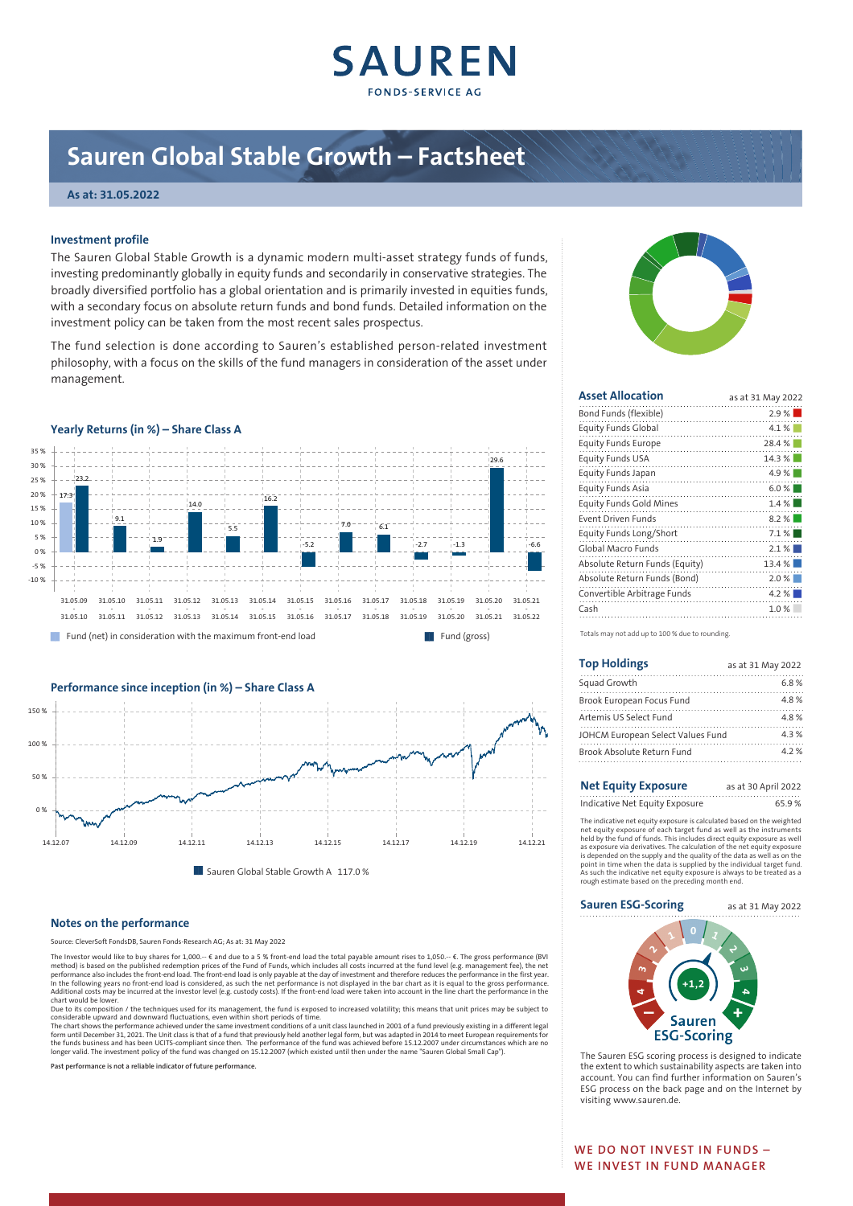# **SAUREN FONDS-SERVICE AC**

# **Sauren Global Stable Growth – Factsheet**

## **As at: 31.05.2022**

## **Investment profile**

The Sauren Global Stable Growth is a dynamic modern multi-asset strategy funds of funds, investing predominantly globally in equity funds and secondarily in conservative strategies. The broadly diversified portfolio has a global orientation and is primarily invested in equities funds, with a secondary focus on absolute return funds and bond funds. Detailed information on the investment policy can be taken from the most recent sales prospectus.

The fund selection is done according to Sauren's established person-related investment philosophy, with a focus on the skills of the fund managers in consideration of the asset under management.





#### **Notes on the performance**

Source: CleverSoft FondsDB, Sauren Fonds-Research AG; As at: 31 May 2022

The Investor would like to buy shares for 1,000.-- € and due to a 5 % front-end load the total payable amount rises to 1,050.-- €. The gross performance (BVI method) is based on the published redemption prices of the Fund of Funds, which includes all costs incurred at the fund level (e.g. management fee), the net<br>performance also includes the front-end load. The front-end load

form until December 31, 2021. The Unit class is that of a fund that previously held another legal form, but was adapted in 2014 to meet European requirements for<br>the funds business and has been UCITS-compliant since then T

**Past performance is not a reliable indicator of future performance.**



| <b>Asset Allocation</b>        | as at 31 May 2022 |
|--------------------------------|-------------------|
| Bond Funds (flexible)          | 2.9%              |
| <b>Equity Funds Global</b>     | 4.1%              |
| <b>Equity Funds Europe</b>     | 28.4%             |
| <b>Equity Funds USA</b>        | 14.3%             |
| Equity Funds Japan             | $4.9\%$           |
| <b>Equity Funds Asia</b><br>.  | 6.0%              |
| <b>Equity Funds Gold Mines</b> | 1.4%              |
| Event Driven Funds             | 8.2%              |
| Equity Funds Long/Short        | $7.1\%$           |
| Global Macro Funds             | 2.1%              |
| Absolute Return Funds (Equity) | 13.4%             |
| Absolute Return Funds (Bond)   | 2.0%              |
| Convertible Arbitrage Funds    | 4.2%              |
| Cash                           | 1.0%              |

Totals may not add up to 100 % due to rounding.

| <b>Top Holdings</b>               | as at 31 May 2022 |
|-----------------------------------|-------------------|
| Squad Growth                      | 6.8%              |
| Brook European Focus Fund         | 48%               |
| Artemis US Select Fund            | 48%               |
| JOHCM European Select Values Fund | 43%               |
| Brook Absolute Return Fund        | 42%               |

# **Net Equity Exposure** as at 30 April 2022

Indicative Net Equity Exposure 65.9 %

The indicative net equity exposure is calculated based on the weighted net equity exposure of each target fund as well as the instruments<br>held by the fund of funds. This includes direct equity exposure as well<br>as exposure via derivatives. The calculation of the net equity exposure<br>is depended

## **Sauren ESG-Scoring** as at 31 May 2022



The Sauren ESG scoring process is designed to indicate the extent to which sustainability aspects are taken into account. You can find further information on Sauren's ESG process on the back page and on the Internet by visiting www.sauren.de.

**WE DO NOT INVEST IN FUNDS – WE INVEST IN FUND MANAGER**